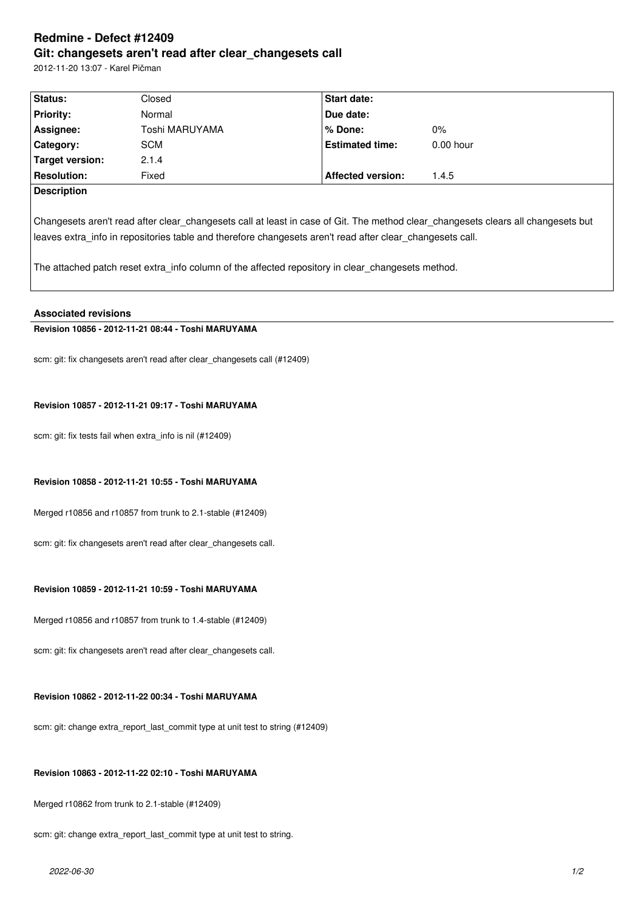# **Redmine - Defect #12409 Git: changesets aren't read after clear\_changesets call**

2012-11-20 13:07 - Karel Pičman

| Status:                | Closed         | <b>Start date:</b>                                                                                        |                                                                                                                                   |
|------------------------|----------------|-----------------------------------------------------------------------------------------------------------|-----------------------------------------------------------------------------------------------------------------------------------|
| <b>Priority:</b>       | Normal         | Due date:                                                                                                 |                                                                                                                                   |
| Assignee:              | Toshi MARUYAMA | $%$ Done:                                                                                                 | $0\%$                                                                                                                             |
| Category:              | <b>SCM</b>     | <b>Estimated time:</b>                                                                                    | $0.00$ hour                                                                                                                       |
| <b>Target version:</b> | 2.1.4          |                                                                                                           |                                                                                                                                   |
| <b>Resolution:</b>     | Fixed          | <b>Affected version:</b>                                                                                  | 1.4.5                                                                                                                             |
| <b>Description</b>     |                |                                                                                                           |                                                                                                                                   |
|                        |                | leaves extra info in repositories table and therefore changesets aren't read after clear changesets call. | Changesets aren't read after clear changesets call at least in case of Git. The method clear changesets clears all changesets but |
|                        |                | The attached patch reset extra info column of the affected repository in clear changesets method.         |                                                                                                                                   |

## **Associated revisions**

# **Revision 10856 - 2012-11-21 08:44 - Toshi MARUYAMA**

scm: git: fix changesets aren't read after clear\_changesets call (#12409)

#### **Revision 10857 - 2012-11-21 09:17 - Toshi MARUYAMA**

scm: git: fix tests fail when extra\_info is nil (#12409)

## **Revision 10858 - 2012-11-21 10:55 - Toshi MARUYAMA**

Merged r10856 and r10857 from trunk to 2.1-stable (#12409)

scm: git: fix changesets aren't read after clear changesets call.

## **Revision 10859 - 2012-11-21 10:59 - Toshi MARUYAMA**

Merged r10856 and r10857 from trunk to 1.4-stable (#12409)

scm: git: fix changesets aren't read after clear\_changesets call.

## **Revision 10862 - 2012-11-22 00:34 - Toshi MARUYAMA**

scm: git: change extra\_report\_last\_commit type at unit test to string (#12409)

#### **Revision 10863 - 2012-11-22 02:10 - Toshi MARUYAMA**

Merged r10862 from trunk to 2.1-stable (#12409)

scm: git: change extra\_report\_last\_commit type at unit test to string.